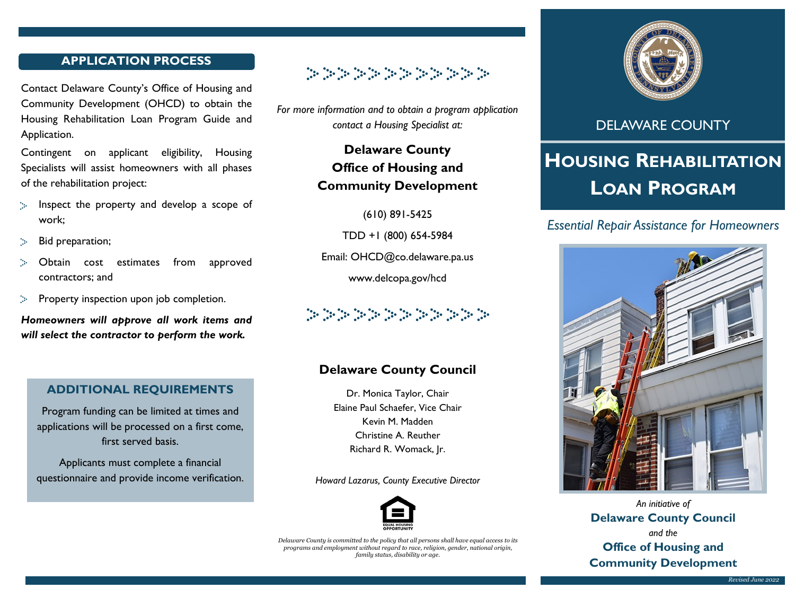#### APPLICATION PROCESS

Contact Delaware County's Office of Housing and Community Development (OHCD) to obtain the Housing Rehabilitation Loan Program Guide and Application.

Contingent on applicant eligibility, Housing Specialists will assist homeowners with all phases of the rehabilitation project:

- Inspect the property and develop a scope of **No** work;
- Bid preparation;
- Obtain cost estimates from approved contractors; and
- Property inspection upon job completion.

Homeowners will approve all work items and will select the contractor to perform the work.

#### ADDITIONAL REQUIREMENTS

Program funding can be limited at times and applications will be processed on a first come, first served basis.

Applicants must complete a financial questionnaire and provide income verification.



For more information and to obtain a program application contact a Housing Specialist at:

> Delaware County Office of Housing and Community Development

> > (610) 891-5425

TDD +1 (800) 654-5984

Email: OHCD@co.delaware.pa.us

www.delcopa.gov/hcd



## Delaware County Council

Dr. Monica Taylor, Chair Elaine Paul Schaefer, Vice Chair Kevin M. Madden Christine A. Reuther Richard R. Womack, Jr.

Howard Lazarus, County Executive Director



Delaware County is committed to the policy that all persons shall have equal access to its programs and employment without regard to race, religion, gender, national origin, family status, disability or age.



## DELAWARE COUNTY

# HOUSING REHABILITATION LOAN PROGRAM

### Essential Repair Assistance for Homeowners



An initiative of Delaware County Council and the Office of Housing and Community Development